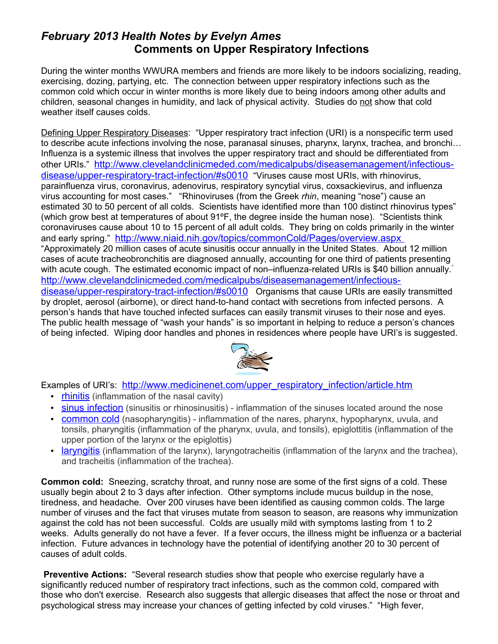## *February 2013 Health Notes by Evelyn Ames* **Comments on Upper Respiratory Infections**

During the winter months WWURA members and friends are more likely to be indoors socializing, reading, exercising, dozing, partying, etc. The connection between upper respiratory infections such as the common cold which occur in winter months is more likely due to being indoors among other adults and children, seasonal changes in humidity, and lack of physical activity. Studies do not show that cold weather itself causes colds.

Defining Upper Respiratory Diseases: "Upper respiratory tract infection (URI) is a nonspecific term used to describe acute infections involving the nose, paranasal sinuses, pharynx, larynx, trachea, and bronchi… Influenza is a systemic illness that involves the upper respiratory tract and should be differentiated from other URIs." [http://www.clevelandclinicmeded.com/medicalpubs/diseasemanagement/infectious](http://www.clevelandclinicmeded.com/medicalpubs/diseasemanagement/infectious-disease/upper-respiratory-tract-infection/#s0010)[disease/upper-respiratory-tract-infection/#s0010](http://www.clevelandclinicmeded.com/medicalpubs/diseasemanagement/infectious-disease/upper-respiratory-tract-infection/#s0010) "Viruses cause most URIs, with rhinovirus, parainfluenza virus, coronavirus, adenovirus, respiratory syncytial virus, coxsackievirus, and influenza virus accounting for most cases." "Rhinoviruses (from the Greek *rhin*, meaning "nose") cause an estimated 30 to 50 percent of all colds. Scientists have identified more than 100 distinct rhinovirus types" (which grow best at temperatures of about 91ºF, the degree inside the human nose). "Scientists think coronaviruses cause about 10 to 15 percent of all adult colds. They bring on colds primarily in the winter and early spring." <http://www.niaid.nih.gov/topics/commonCold/Pages/overview.aspx> "Approximately 20 million cases of acute sinusitis occur annually in the United States. About 12 million cases of acute tracheobronchitis are diagnosed annually, accounting for one third of patients presenting with acute cough. The estimated economic impact of non-influenza-related URIs is \$40 billion annually. [http://www.clevelandclinicmeded.com/medicalpubs/diseasemanagement/infectious](http://www.clevelandclinicmeded.com/medicalpubs/diseasemanagement/infectious-disease/upper-respiratory-tract-infection/#s0010)[disease/upper-respiratory-tract-infection/#s0010](http://www.clevelandclinicmeded.com/medicalpubs/diseasemanagement/infectious-disease/upper-respiratory-tract-infection/#s0010) Organisms that cause URIs are easily transmitted by droplet, aerosol (airborne), or direct hand-to-hand contact with secretions from infected persons. A person's hands that have touched infected surfaces can easily transmit viruses to their nose and eyes. The public health message of "wash your hands" is so important in helping to reduce a person's chances of being infected. Wiping door handles and phones in residences where people have URI's is suggested.



Examples of URI's: [http://www.medicinenet.com/upper\\_respiratory\\_infection/article.htm](http://www.medicinenet.com/upper_respiratory_infection/article.htm)

- • [rhinitis](http://www.medicinenet.com/script/main/art.asp?articlekey=6725) (inflammation of the nasal cavity)
- • [sinus infection](http://www.medicinenet.com/script/main/art.asp?articlekey=476) (sinusitis or rhinosinusitis) inflammation of the sinuses located around the nose
- **common cold** (nasopharyngitis) inflammation of the nares, pharynx, hypopharynx, uvula, and tonsils, pharyngitis (inflammation of the pharynx, uvula, and tonsils), epiglottitis (inflammation of the upper portion of the larynx or the epiglottis)
- • [laryngitis](http://www.medicinenet.com/script/main/art.asp?articlekey=100434) (inflammation of the larynx), laryngotracheitis (inflammation of the larynx and the trachea), and tracheitis (inflammation of the trachea).

**Common cold:** Sneezing, scratchy throat, and runny nose are some of the first signs of a cold. These usually begin about 2 to 3 days after infection. Other symptoms include mucus buildup in the nose, tiredness, and headache. Over 200 viruses have been identified as causing common colds. The large number of viruses and the fact that viruses mutate from season to season, are reasons why immunization against the cold has not been successful. Colds are usually mild with symptoms lasting from 1 to 2 weeks. Adults generally do not have a fever. If a fever occurs, the illness might be influenza or a bacterial infection. Future advances in technology have the potential of identifying another 20 to 30 percent of causes of adult colds.

**Preventive Actions:** "Several research studies show that people who exercise regularly have a significantly reduced number of respiratory tract infections, such as the common cold, compared with those who don't exercise. Research also suggests that allergic diseases that affect the nose or throat and psychological stress may increase your chances of getting infected by cold viruses." "High fever,